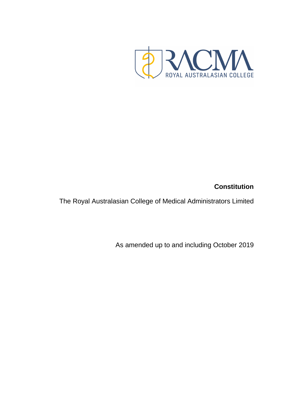# **Constitution**

<span id="page-0-1"></span><span id="page-0-0"></span>The Royal Australasian College of Medical Administrators Limited

As amended up to and including October 2019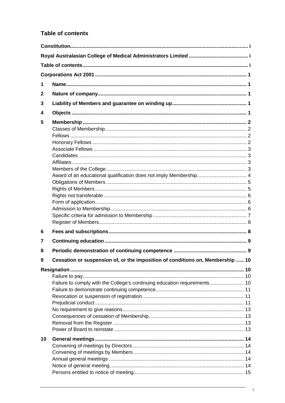# <span id="page-1-0"></span>**Table of contents**

| 1            |                                                                                |  |
|--------------|--------------------------------------------------------------------------------|--|
| $\mathbf{2}$ |                                                                                |  |
| 3            |                                                                                |  |
| 4            |                                                                                |  |
| 5            | Award of an educational qualification does not imply Membership 4              |  |
|              |                                                                                |  |
| 6            |                                                                                |  |
| 7            |                                                                                |  |
| 8            |                                                                                |  |
| 9            | Cessation or suspension of, or the imposition of conditions on, Membership  10 |  |
|              | Failure to comply with the College's continuing education requirements 10      |  |
| 10           |                                                                                |  |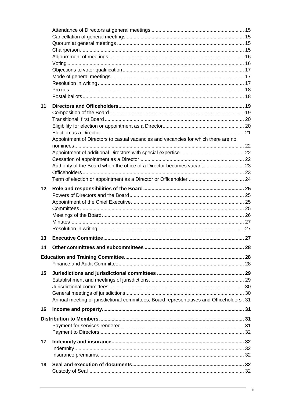| 11      |                                                                                           |  |
|---------|-------------------------------------------------------------------------------------------|--|
|         |                                                                                           |  |
|         |                                                                                           |  |
|         |                                                                                           |  |
|         |                                                                                           |  |
|         | Appointment of Directors to casual vacancies and vacancies for which there are no         |  |
|         |                                                                                           |  |
|         |                                                                                           |  |
|         |                                                                                           |  |
|         | Authority of the Board when the office of a Director becomes vacant  23                   |  |
|         |                                                                                           |  |
|         |                                                                                           |  |
| $12 \,$ |                                                                                           |  |
|         |                                                                                           |  |
|         |                                                                                           |  |
|         |                                                                                           |  |
|         |                                                                                           |  |
|         |                                                                                           |  |
|         |                                                                                           |  |
| 13      |                                                                                           |  |
| 14      |                                                                                           |  |
|         |                                                                                           |  |
|         |                                                                                           |  |
|         |                                                                                           |  |
|         |                                                                                           |  |
| 15      |                                                                                           |  |
|         |                                                                                           |  |
|         |                                                                                           |  |
|         |                                                                                           |  |
|         | Annual meeting of jurisdictional committees, Board representatives and Officeholders . 31 |  |
| 16      |                                                                                           |  |
|         |                                                                                           |  |
|         |                                                                                           |  |
|         |                                                                                           |  |
|         |                                                                                           |  |
| 17      |                                                                                           |  |
|         |                                                                                           |  |
|         |                                                                                           |  |
| 18      |                                                                                           |  |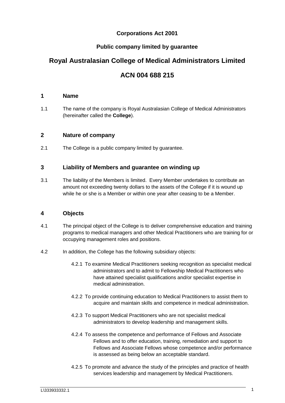# **Corporations Act 2001**

# **Public company limited by guarantee**

# <span id="page-4-0"></span>**Royal Australasian College of Medical Administrators Limited**

# **ACN 004 688 215**

# <span id="page-4-1"></span>**1 Name**

1.1 The name of the company is Royal Australasian College of Medical Administrators (hereinafter called the **College**).

# <span id="page-4-2"></span>**2 Nature of company**

2.1 The College is a public company limited by guarantee.

# <span id="page-4-3"></span>**3 Liability of Members and guarantee on winding up**

3.1 The liability of the Members is limited. Every Member undertakes to contribute an amount not exceeding twenty dollars to the assets of the College if it is wound up while he or she is a Member or within one year after ceasing to be a Member.

# <span id="page-4-4"></span>**4 Objects**

- 4.1 The principal object of the College is to deliver comprehensive education and training programs to medical managers and other Medical Practitioners who are training for or occupying management roles and positions.
- 4.2 In addition, the College has the following subsidiary objects:
	- 4.2.1 To examine Medical Practitioners seeking recognition as specialist medical administrators and to admit to Fellowship Medical Practitioners who have attained specialist qualifications and/or specialist expertise in medical administration.
	- 4.2.2 To provide continuing education to Medical Practitioners to assist them to acquire and maintain skills and competence in medical administration.
	- 4.2.3 To support Medical Practitioners who are not specialist medical administrators to develop leadership and management skills.
	- 4.2.4 To assess the competence and performance of Fellows and Associate Fellows and to offer education, training, remediation and support to Fellows and Associate Fellows whose competence and/or performance is assessed as being below an acceptable standard.
	- 4.2.5 To promote and advance the study of the principles and practice of health services leadership and management by Medical Practitioners.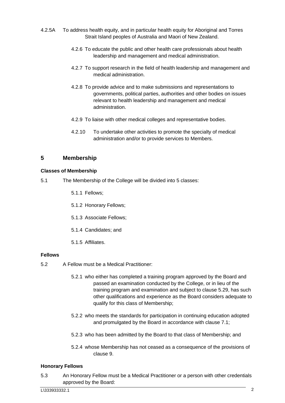- 4.2.5A To address health equity, and in particular health equity for Aboriginal and Torres Strait Island peoples of Australia and Maori of New Zealand.
	- 4.2.6 To educate the public and other health care professionals about health leadership and management and medical administration.
	- 4.2.7 To support research in the field of health leadership and management and medical administration.
	- 4.2.8 To provide advice and to make submissions and representations to governments, political parties, authorities and other bodies on issues relevant to health leadership and management and medical administration.
	- 4.2.9 To liaise with other medical colleges and representative bodies.
	- 4.2.10 To undertake other activities to promote the specialty of medical administration and/or to provide services to Members.

# <span id="page-5-0"></span>**5 Membership**

# <span id="page-5-1"></span>**Classes of Membership**

- <span id="page-5-4"></span>5.1 The Membership of the College will be divided into 5 classes:
	- 5.1.1 Fellows;
	- 5.1.2 Honorary Fellows;
	- 5.1.3 Associate Fellows;
	- 5.1.4 Candidates; and
	- 5.1.5 Affiliates.

#### <span id="page-5-2"></span>**Fellows**

- <span id="page-5-5"></span>5.2 A Fellow must be a Medical Practitioner:
	- 5.2.1 who either has completed a training program approved by the Board and passed an examination conducted by the College, or in lieu of the training program and examination and subject to clause [5.29,](#page-10-1) has such other qualifications and experience as the Board considers adequate to qualify for this class of Membership;
	- 5.2.2 who meets the standards for participation in continuing education adopted and promulgated by the Board in accordance with clause [7.1;](#page-12-2)
	- 5.2.3 who has been admitted by the Board to that class of Membership; and
	- 5.2.4 whose Membership has not ceased as a consequence of the provisions of clause [9.](#page-13-0)

#### <span id="page-5-3"></span>**Honorary Fellows**

<span id="page-5-6"></span>5.3 An Honorary Fellow must be a Medical Practitioner or a person with other credentials approved by the Board: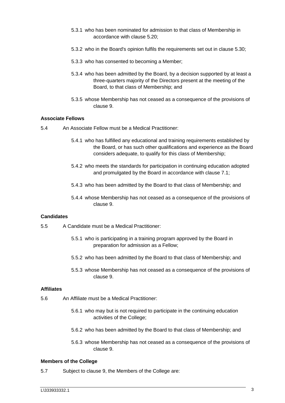- 5.3.1 who has been nominated for admission to that class of Membership in accordance with clause [5.20;](#page-9-3)
- 5.3.2 who in the Board's opinion fulfils the requirements set out in clause [5.30;](#page-11-2)
- 5.3.3 who has consented to becoming a Member;
- 5.3.4 who has been admitted by the Board, by a decision supported by at least a three-quarters majority of the Directors present at the meeting of the Board, to that class of Membership; and
- 5.3.5 whose Membership has not ceased as a consequence of the provisions of clause [9.](#page-13-0)

#### <span id="page-6-0"></span>**Associate Fellows**

- <span id="page-6-6"></span><span id="page-6-4"></span>5.4 An Associate Fellow must be a Medical Practitioner:
	- 5.4.1 who has fulfilled any educational and training requirements established by the Board, or has such other qualifications and experience as the Board considers adequate, to qualify for this class of Membership;
	- 5.4.2 who meets the standards for participation in continuing education adopted and promulgated by the Board in accordance with clause [7.1;](#page-12-2)
	- 5.4.3 who has been admitted by the Board to that class of Membership; and
	- 5.4.4 whose Membership has not ceased as a consequence of the provisions of clause [9.](#page-13-0)

#### <span id="page-6-1"></span>**Candidates**

- <span id="page-6-7"></span>5.5 A Candidate must be a Medical Practitioner:
	- 5.5.1 who is participating in a training program approved by the Board in preparation for admission as a Fellow;
	- 5.5.2 who has been admitted by the Board to that class of Membership; and
	- 5.5.3 whose Membership has not ceased as a consequence of the provisions of clause [9.](#page-13-0)

#### <span id="page-6-2"></span>**Affiliates**

- <span id="page-6-5"></span>5.6 An Affiliate must be a Medical Practitioner:
	- 5.6.1 who may but is not required to participate in the continuing education activities of the College;
	- 5.6.2 who has been admitted by the Board to that class of Membership; and
	- 5.6.3 whose Membership has not ceased as a consequence of the provisions of clause [9.](#page-13-0)

#### <span id="page-6-3"></span>**Members of the College**

5.7 Subject to clause [9,](#page-13-0) the Members of the College are: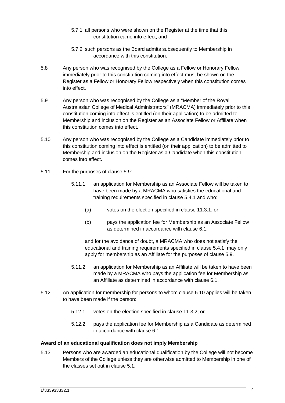- 5.7.1 all persons who were shown on the Register at the time that this constitution came into effect; and
- 5.7.2 such persons as the Board admits subsequently to Membership in accordance with this constitution.
- 5.8 Any person who was recognised by the College as a Fellow or Honorary Fellow immediately prior to this constitution coming into effect must be shown on the Register as a Fellow or Honorary Fellow respectively when this constitution comes into effect.
- <span id="page-7-1"></span>5.9 Any person who was recognised by the College as a "Member of the Royal Australasian College of Medical Administrators" (MRACMA) immediately prior to this constitution coming into effect is entitled (on their application) to be admitted to Membership and inclusion on the Register as an Associate Fellow or Affiliate when this constitution comes into effect.
- 5.10 Any person who was recognised by the College as a Candidate immediately prior to this constitution coming into effect is entitled (on their application) to be admitted to Membership and inclusion on the Register as a Candidate when this constitution comes into effect.
- 5.11 For the purposes of clause [5.9:](#page-7-1)
	- 5.11.1 an application for Membership as an Associate Fellow will be taken to have been made by a MRACMA who satisfies the educational and training requirements specified in clause [5.4.1](#page-6-4) and who:
		- (a) votes on the election specified in clause [11.3.1;](#page-23-2) or
		- (b) pays the application fee for Membership as an Associate Fellow as determined in accordance with clause [6.1,](#page-11-3)

and for the avoidance of doubt, a MRACMA who does not satisfy the educational and training requirements specified in clause [5.4.1](#page-6-4) may only apply for membership as an Affiliate for the purposes of clause [5.9.](#page-7-1)

- 5.11.2 an application for Membership as an Affiliate will be taken to have been made by a MRACMA who pays the application fee for Membership as an Affiliate as determined in accordance with clause [6.1.](#page-11-3)
- 5.12 An application for membership for persons to whom clause 5.10 applies will be taken to have been made if the person:
	- 5.12.1 votes on the election specified in clause [11.3.2;](#page-23-3) or
	- 5.12.2 pays the application fee for Membership as a Candidate as determined in accordance with clause [6.1.](#page-11-3)

#### <span id="page-7-0"></span>**Award of an educational qualification does not imply Membership**

5.13 Persons who are awarded an educational qualification by the College will not become Members of the College unless they are otherwise admitted to Membership in one of the classes set out in clause [5.1.](#page-5-4)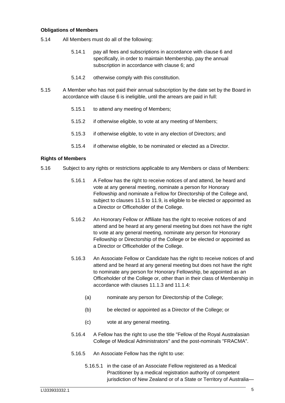#### <span id="page-8-0"></span>**Obligations of Members**

- 5.14 All Members must do all of the following:
	- 5.14.1 pay all fees and subscriptions in accordance with clause [6](#page-11-1) and specifically, in order to maintain Membership, pay the annual subscription in accordance with clause [6;](#page-11-1) and
	- 5.14.2 otherwise comply with this constitution.
- <span id="page-8-3"></span>5.15 A Member who has not paid their annual subscription by the date set by the Board in accordance with clause [6](#page-11-1) is ineligible, until the arrears are paid in full:
	- 5.15.1 to attend any meeting of Members;
	- 5.15.2 if otherwise eligible, to vote at any meeting of Members;
	- 5.15.3 if otherwise eligible, to vote in any election of Directors; and
	- 5.15.4 if otherwise eligible, to be nominated or elected as a Director.

#### <span id="page-8-1"></span>**Rights of Members**

- <span id="page-8-2"></span>5.16 Subject to any rights or restrictions applicable to any Members or class of Members:
	- 5.16.1 A Fellow has the right to receive notices of and attend, be heard and vote at any general meeting, nominate a person for Honorary Fellowship and nominate a Fellow for Directorship of the College and, subject to clauses [11.5](#page-23-4) to [11.9,](#page-24-1) is eligible to be elected or appointed as a Director or Officeholder of the College.
	- 5.16.2 An Honorary Fellow or Affiliate has the right to receive notices of and attend and be heard at any general meeting but does not have the right to vote at any general meeting, nominate any person for Honorary Fellowship or Directorship of the College or be elected or appointed as a Director or Officeholder of the College.
	- 5.16.3 An Associate Fellow or Candidate has the right to receive notices of and attend and be heard at any general meeting but does not have the right to nominate any person for Honorary Fellowship, be appointed as an Officeholder of the College or, other than in their class of Membership in accordance with clauses [11.1.3](#page-23-5) and [11.1.4:](#page-23-6)
		- (a) nominate any person for Directorship of the College;
		- (b) be elected or appointed as a Director of the College; or
		- (c) vote at any general meeting.
	- 5.16.4 A Fellow has the right to use the title "Fellow of the Royal Australasian College of Medical Administrators" and the post-nominals "FRACMA".
	- 5.16.5 An Associate Fellow has the right to use:
		- 5.16.5.1 in the case of an Associate Fellow registered as a Medical Practitioner by a medical registration authority of competent jurisdiction of New Zealand or of a State or Territory of Australia—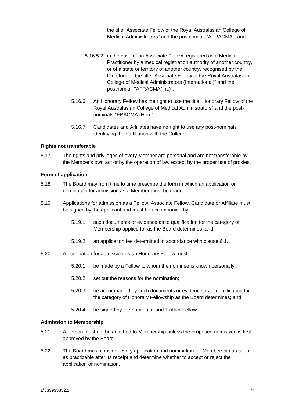the title "Associate Fellow of the Royal Australasian College of Medical Administrators" and the postnomial "AFRACMA"; and

- 5.16.5.2 in the case of an Associate Fellow registered as a Medical Practitioner by a medical registration authority of another country, or of a state or territory of another country, recognised by the Directors— the title "Associate Fellow of the Royal Australasian College of Medical Administrators (International)" and the postnomial "AFRACMA(Int.)".
- <span id="page-9-4"></span>5.16.6 An Honorary Fellow has the right to use the title "Honorary Fellow of the Royal Australasian College of Medical Administrators" and the postnominals "FRACMA (Hon)".
- 5.16.7 Candidates and Affiliates have no right to use any post-nominals identifying their affiliation with the College.

#### <span id="page-9-0"></span>**Rights not transferable**

5.17 The rights and privileges of every Member are personal and are not transferable by the Member's own act or by the operation of law except by the proper use of proxies.

#### <span id="page-9-1"></span>**Form of application**

- 5.18 The Board may from time to time prescribe the form in which an application or nomination for admission as a Member must be made.
- 5.19 Applications for admission as a Fellow, Associate Fellow, Candidate or Affiliate must be signed by the applicant and must be accompanied by:
	- 5.19.1 such documents or evidence as to qualification for the category of Membership applied for as the Board determines; and
	- 5.19.2 an application fee determined in accordance with clause [6.1.](#page-11-3)
- <span id="page-9-3"></span>5.20 A nomination for admission as an Honorary Fellow must:
	- 5.20.1 be made by a Fellow to whom the nominee is known personally;
	- 5.20.2 set out the reasons for the nomination;
	- 5.20.3 be accompanied by such documents or evidence as to qualification for the category of Honorary Fellowship as the Board determines; and
	- 5.20.4 be signed by the nominator and 1 other Fellow.

#### <span id="page-9-2"></span>**Admission to Membership**

- 5.21 A person must not be admitted to Membership unless the proposed admission is first approved by the Board.
- 5.22 The Board must consider every application and nomination for Membership as soon as practicable after its receipt and determine whether to accept or reject the application or nomination.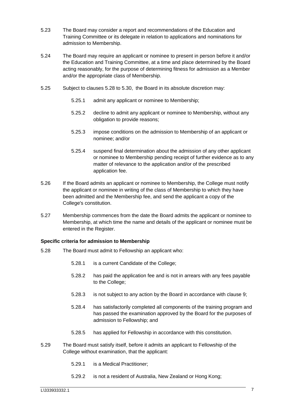- 5.23 The Board may consider a report and recommendations of the Education and Training Committee or its delegate in relation to applications and nominations for admission to Membership.
- 5.24 The Board may require an applicant or nominee to present in person before it and/or the Education and Training Committee, at a time and place determined by the Board acting reasonably, for the purpose of determining fitness for admission as a Member and/or the appropriate class of Membership.
- 5.25 Subject to clauses [5.28](#page-10-2) to [5.30,](#page-11-2) the Board in its absolute discretion may:
	- 5.25.1 admit any applicant or nominee to Membership;
	- 5.25.2 decline to admit any applicant or nominee to Membership, without any obligation to provide reasons;
	- 5.25.3 impose conditions on the admission to Membership of an applicant or nominee; and/or
	- 5.25.4 suspend final determination about the admission of any other applicant or nominee to Membership pending receipt of further evidence as to any matter of relevance to the application and/or of the prescribed application fee.
- 5.26 If the Board admits an applicant or nominee to Membership, the College must notify the applicant or nominee in writing of the class of Membership to which they have been admitted and the Membership fee, and send the applicant a copy of the College's constitution.
- 5.27 Membership commences from the date the Board admits the applicant or nominee to Membership, at which time the name and details of the applicant or nominee must be entered in the Register.

# <span id="page-10-0"></span>**Specific criteria for admission to Membership**

- <span id="page-10-2"></span>5.28 The Board must admit to Fellowship an applicant who:
	- 5.28.1 is a current Candidate of the College;
	- 5.28.2 has paid the application fee and is not in arrears with any fees payable to the College;
	- 5.28.3 is not subject to any action by the Board in accordance with clause [9;](#page-13-0)
	- 5.28.4 has satisfactorily completed all components of the training program and has passed the examination approved by the Board for the purposes of admission to Fellowship; and
	- 5.28.5 has applied for Fellowship in accordance with this constitution.
- <span id="page-10-1"></span>5.29 The Board must satisfy itself, before it admits an applicant to Fellowship of the College without examination, that the applicant:
	- 5.29.1 is a Medical Practitioner;
	- 5.29.2 is not a resident of Australia, New Zealand or Hong Kong;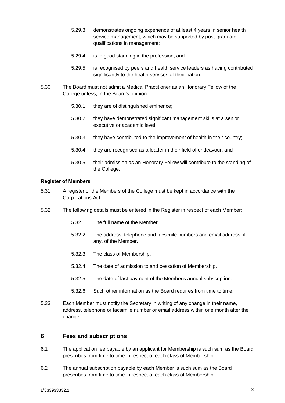- 5.29.3 demonstrates ongoing experience of at least 4 years in senior health service management, which may be supported by post-graduate qualifications in management;
- 5.29.4 is in good standing in the profession; and
- 5.29.5 is recognised by peers and health service leaders as having contributed significantly to the health services of their nation.
- <span id="page-11-2"></span>5.30 The Board must not admit a Medical Practitioner as an Honorary Fellow of the College unless, in the Board's opinion:
	- 5.30.1 they are of distinguished eminence;
	- 5.30.2 they have demonstrated significant management skills at a senior executive or academic level;
	- 5.30.3 they have contributed to the improvement of health in their country;
	- 5.30.4 they are recognised as a leader in their field of endeavour; and
	- 5.30.5 their admission as an Honorary Fellow will contribute to the standing of the College.

#### <span id="page-11-0"></span>**Register of Members**

- 5.31 A register of the Members of the College must be kept in accordance with the Corporations Act.
- 5.32 The following details must be entered in the Register in respect of each Member:
	- 5.32.1 The full name of the Member.
	- 5.32.2 The address, telephone and facsimile numbers and email address, if any, of the Member.
	- 5.32.3 The class of Membership.
	- 5.32.4 The date of admission to and cessation of Membership.
	- 5.32.5 The date of last payment of the Member's annual subscription.
	- 5.32.6 Such other information as the Board requires from time to time.
- 5.33 Each Member must notify the Secretary in writing of any change in their name, address, telephone or facsimile number or email address within one month after the change.

# <span id="page-11-1"></span>**6 Fees and subscriptions**

- <span id="page-11-3"></span>6.1 The application fee payable by an applicant for Membership is such sum as the Board prescribes from time to time in respect of each class of Membership.
- 6.2 The annual subscription payable by each Member is such sum as the Board prescribes from time to time in respect of each class of Membership.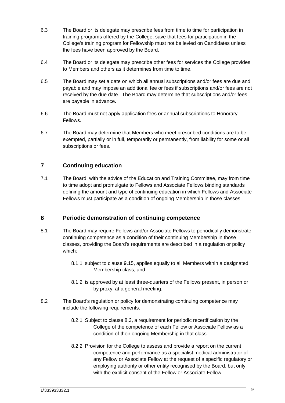- 6.3 The Board or its delegate may prescribe fees from time to time for participation in training programs offered by the College, save that fees for participation in the College's training program for Fellowship must not be levied on Candidates unless the fees have been approved by the Board.
- 6.4 The Board or its delegate may prescribe other fees for services the College provides to Members and others as it determines from time to time.
- 6.5 The Board may set a date on which all annual subscriptions and/or fees are due and payable and may impose an additional fee or fees if subscriptions and/or fees are not received by the due date. The Board may determine that subscriptions and/or fees are payable in advance.
- 6.6 The Board must not apply application fees or annual subscriptions to Honorary Fellows.
- 6.7 The Board may determine that Members who meet prescribed conditions are to be exempted, partially or in full, temporarily or permanently, from liability for some or all subscriptions or fees.

# <span id="page-12-0"></span>**7 Continuing education**

<span id="page-12-2"></span>7.1 The Board, with the advice of the Education and Training Committee, may from time to time adopt and promulgate to Fellows and Associate Fellows binding standards defining the amount and type of continuing education in which Fellows and Associate Fellows must participate as a condition of ongoing Membership in those classes.

# <span id="page-12-1"></span>**8 Periodic demonstration of continuing competence**

- <span id="page-12-3"></span>8.1 The Board may require Fellows and/or Associate Fellows to periodically demonstrate continuing competence as a condition of their continuing Membership in those classes, providing the Board's requirements are described in a regulation or policy which:
	- 8.1.1 subject to clause [9.15,](#page-15-0) applies equally to all Members within a designated Membership class; and
	- 8.1.2 is approved by at least three-quarters of the Fellows present, in person or by proxy, at a general meeting.
- 8.2 The Board's regulation or policy for demonstrating continuing competence may include the following requirements:
	- 8.2.1 Subject to clause [8.3,](#page-13-4) a requirement for periodic recertification by the College of the competence of each Fellow or Associate Fellow as a condition of their ongoing Membership in that class.
	- 8.2.2 Provision for the College to assess and provide a report on the current competence and performance as a specialist medical administrator of any Fellow or Associate Fellow at the request of a specific regulatory or employing authority or other entity recognised by the Board, but only with the explicit consent of the Fellow or Associate Fellow.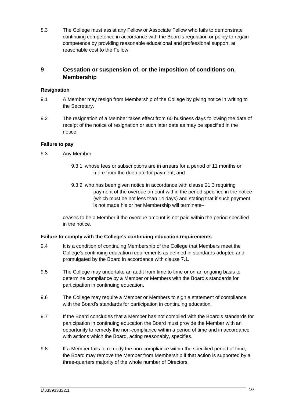<span id="page-13-4"></span>8.3 The College must assist any Fellow or Associate Fellow who fails to demonstrate continuing competence in accordance with the Board's regulation or policy to regain competence by providing reasonable educational and professional support, at reasonable cost to the Fellow.

# <span id="page-13-0"></span>**9 Cessation or suspension of, or the imposition of conditions on, Membership**

# <span id="page-13-1"></span>**Resignation**

- 9.1 A Member may resign from Membership of the College by giving notice in writing to the Secretary.
- 9.2 The resignation of a Member takes effect from 60 business days following the date of receipt of the notice of resignation or such later date as may be specified in the notice.

# <span id="page-13-2"></span>**Failure to pay**

- 9.3 Any Member:
	- 9.3.1 whose fees or subscriptions are in arrears for a period of 11 months or more from the due date for payment; and
	- 9.3.2 who has been given notice in accordance with clause 21.3 requiring payment of the overdue amount within the period specified in the notice (which must be not less than 14 days) and stating that if such payment is not made his or her Membership will terminate–

ceases to be a Member if the overdue amount is not paid within the period specified in the notice.

# <span id="page-13-3"></span>**Failure to comply with the College's continuing education requirements**

- 9.4 It is a condition of continuing Membership of the College that Members meet the College's continuing education requirements as defined in standards adopted and promulgated by the Board in accordance with clause [7.1.](#page-12-2)
- 9.5 The College may undertake an audit from time to time or on an ongoing basis to determine compliance by a Member or Members with the Board's standards for participation in continuing education.
- 9.6 The College may require a Member or Members to sign a statement of compliance with the Board's standards for participation in continuing education.
- 9.7 If the Board concludes that a Member has not complied with the Board's standards for participation in continuing education the Board must provide the Member with an opportunity to remedy the non-compliance within a period of time and in accordance with actions which the Board, acting reasonably, specifies.
- 9.8 If a Member fails to remedy the non-compliance within the specified period of time, the Board may remove the Member from Membership if that action is supported by a three-quarters majority of the whole number of Directors.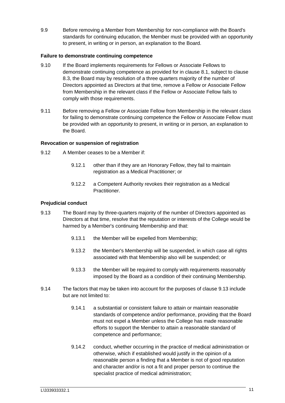9.9 Before removing a Member from Membership for non-compliance with the Board's standards for continuing education, the Member must be provided with an opportunity to present, in writing or in person, an explanation to the Board.

# <span id="page-14-0"></span>**Failure to demonstrate continuing competence**

- 9.10 If the Board implements requirements for Fellows or Associate Fellows to demonstrate continuing competence as provided for in clause [8.1,](#page-12-3) subject to clause [8.3,](#page-13-4) the Board may by resolution of a three quarters majority of the number of Directors appointed as Directors at that time, remove a Fellow or Associate Fellow from Membership in the relevant class if the Fellow or Associate Fellow fails to comply with those requirements.
- 9.11 Before removing a Fellow or Associate Fellow from Membership in the relevant class for failing to demonstrate continuing competence the Fellow or Associate Fellow must be provided with an opportunity to present, in writing or in person, an explanation to the Board.

# <span id="page-14-1"></span>**Revocation or suspension of registration**

- <span id="page-14-4"></span>9.12 A Member ceases to be a Member if:
	- 9.12.1 other than if they are an Honorary Fellow, they fail to maintain registration as a Medical Practitioner; or
	- 9.12.2 a Competent Authority revokes their registration as a Medical Practitioner.

# <span id="page-14-2"></span>**Prejudicial conduct**

- <span id="page-14-3"></span>9.13 The Board may by three-quarters majority of the number of Directors appointed as Directors at that time, resolve that the reputation or interests of the College would be harmed by a Member's continuing Membership and that:
	- 9.13.1 the Member will be expelled from Membership;
	- 9.13.2 the Member's Membership will be suspended, in which case all rights associated with that Membership also will be suspended; or
	- 9.13.3 the Member will be required to comply with requirements reasonably imposed by the Board as a condition of their continuing Membership.
- 9.14 The factors that may be taken into account for the purposes of clause [9.13](#page-14-3) include but are not limited to:
	- 9.14.1 a substantial or consistent failure to attain or maintain reasonable standards of competence and/or performance, providing that the Board must not expel a Member unless the College has made reasonable efforts to support the Member to attain a reasonable standard of competence and performance;
	- 9.14.2 conduct, whether occurring in the practice of medical administration or otherwise, which if established would justify in the opinion of a reasonable person a finding that a Member is not of good reputation and character and/or is not a fit and proper person to continue the specialist practice of medical administration;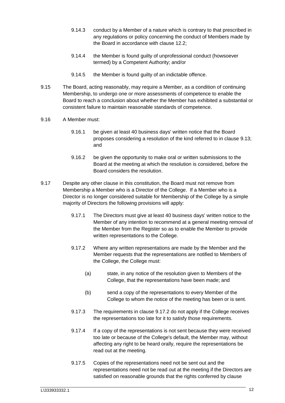- 9.14.3 conduct by a Member of a nature which is contrary to that prescribed in any regulations or policy concerning the conduct of Members made by the Board in accordance with clause [12.2;](#page-28-4)
- 9.14.4 the Member is found guilty of unprofessional conduct (howsoever termed) by a Competent Authority; and/or
- 9.14.5 the Member is found guilty of an indictable offence.
- <span id="page-15-0"></span>9.15 The Board, acting reasonably, may require a Member, as a condition of continuing Membership, to undergo one or more assessments of competence to enable the Board to reach a conclusion about whether the Member has exhibited a substantial or consistent failure to maintain reasonable standards of competence.
- 9.16 A Member must:
	- 9.16.1 be given at least 40 business days' written notice that the Board proposes considering a resolution of the kind referred to in clause [9.13;](#page-14-3) and
	- 9.16.2 be given the opportunity to make oral or written submissions to the Board at the meeting at which the resolution is considered, before the Board considers the resolution.
- <span id="page-15-2"></span><span id="page-15-1"></span>9.17 Despite any other clause in this constitution, the Board must not remove from Membership a Member who is a Director of the College. If a Member who is a Director is no longer considered suitable for Membership of the College by a simple majority of Directors the following provisions will apply:
	- 9.17.1 The Directors must give at least 40 business days' written notice to the Member of any intention to recommend at a general meeting removal of the Member from the Register so as to enable the Member to provide written representations to the College.
	- 9.17.2 Where any written representations are made by the Member and the Member requests that the representations are notified to Members of the College, the College must:
		- (a) state, in any notice of the resolution given to Members of the College, that the representations have been made; and
		- (b) send a copy of the representations to every Member of the College to whom the notice of the meeting has been or is sent.
	- 9.17.3 The requirements in clause [9.17.2](#page-15-1) do not apply if the College receives the representations too late for it to satisfy those requirements.
	- 9.17.4 If a copy of the representations is not sent because they were received too late or because of the College's default, the Member may, without affecting any right to be heard orally, require the representations be read out at the meeting.
	- 9.17.5 Copies of the representations need not be sent out and the representations need not be read out at the meeting if the Directors are satisfied on reasonable grounds that the rights conferred by clause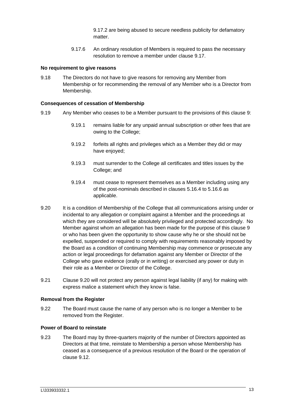[9.17.2](#page-15-1) are being abused to secure needless publicity for defamatory matter.

9.17.6 An ordinary resolution of Members is required to pass the necessary resolution to remove a member under clause [9.17.](#page-15-2)

#### <span id="page-16-0"></span>**No requirement to give reasons**

9.18 The Directors do not have to give reasons for removing any Member from Membership or for recommending the removal of any Member who is a Director from Membership.

#### <span id="page-16-1"></span>**Consequences of cessation of Membership**

- 9.19 Any Member who ceases to be a Member pursuant to the provisions of this clause [9:](#page-13-0)
	- 9.19.1 remains liable for any unpaid annual subscription or other fees that are owing to the College;
	- 9.19.2 forfeits all rights and privileges which as a Member they did or may have enjoyed;
	- 9.19.3 must surrender to the College all certificates and titles issues by the College; and
	- 9.19.4 must cease to represent themselves as a Member including using any of the post-nominals described in clauses [5.16.4](#page-8-2) to [5.16.6](#page-9-4) as applicable.
- 9.20 It is a condition of Membership of the College that all communications arising under or incidental to any allegation or complaint against a Member and the proceedings at which they are considered will be absolutely privileged and protected accordingly. No Member against whom an allegation has been made for the purpose of this clause [9](#page-13-0) or who has been given the opportunity to show cause why he or she should not be expelled, suspended or required to comply with requirements reasonably imposed by the Board as a condition of continuing Membership may commence or prosecute any action or legal proceedings for defamation against any Member or Director of the College who gave evidence (orally or in writing) or exercised any power or duty in their role as a Member or Director of the College.
- <span id="page-16-4"></span>9.21 Clause [9.20](#page-16-4) will not protect any person against legal liability (if any) for making with express malice a statement which they know is false.

# <span id="page-16-2"></span>**Removal from the Register**

9.22 The Board must cause the name of any person who is no longer a Member to be removed from the Register.

#### <span id="page-16-3"></span>**Power of Board to reinstate**

9.23 The Board may by three-quarters majority of the number of Directors appointed as Directors at that time, reinstate to Membership a person whose Membership has ceased as a consequence of a previous resolution of the Board or the operation of clause [9.12.](#page-14-4)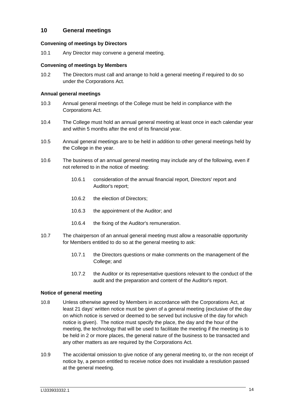# <span id="page-17-0"></span>**10 General meetings**

# <span id="page-17-1"></span>**Convening of meetings by Directors**

10.1 Any Director may convene a general meeting.

# <span id="page-17-2"></span>**Convening of meetings by Members**

10.2 The Directors must call and arrange to hold a general meeting if required to do so under the Corporations Act.

# <span id="page-17-3"></span>**Annual general meetings**

- 10.3 Annual general meetings of the College must be held in compliance with the Corporations Act.
- 10.4 The College must hold an annual general meeting at least once in each calendar year and within 5 months after the end of its financial year.
- 10.5 Annual general meetings are to be held in addition to other general meetings held by the College in the year.
- 10.6 The business of an annual general meeting may include any of the following, even if not referred to in the notice of meeting:
	- 10.6.1 consideration of the annual financial report, Directors' report and Auditor's report;
	- 10.6.2 the election of Directors;
	- 10.6.3 the appointment of the Auditor; and
	- 10.6.4 the fixing of the Auditor's remuneration.
- 10.7 The chairperson of an annual general meeting must allow a reasonable opportunity for Members entitled to do so at the general meeting to ask:
	- 10.7.1 the Directors questions or make comments on the management of the College; and
	- 10.7.2 the Auditor or its representative questions relevant to the conduct of the audit and the preparation and content of the Auditor's report.

# <span id="page-17-4"></span>**Notice of general meeting**

- 10.8 Unless otherwise agreed by Members in accordance with the Corporations Act, at least 21 days' written notice must be given of a general meeting (exclusive of the day on which notice is served or deemed to be served but inclusive of the day for which notice is given). The notice must specify the place, the day and the hour of the meeting, the technology that will be used to facilitate the meeting if the meeting is to be held in 2 or more places, the general nature of the business to be transacted and any other matters as are required by the Corporations Act.
- 10.9 The accidental omission to give notice of any general meeting to, or the non receipt of notice by, a person entitled to receive notice does not invalidate a resolution passed at the general meeting.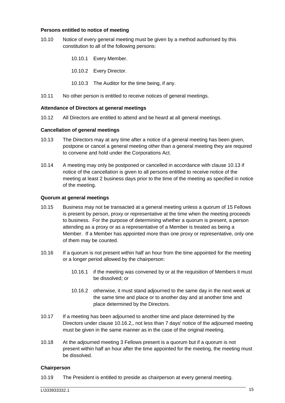#### <span id="page-18-0"></span>**Persons entitled to notice of meeting**

- 10.10 Notice of every general meeting must be given by a method authorised by this constitution to all of the following persons:
	- 10.10.1 Every Member.
	- 10.10.2 Every Director.
	- 10.10.3 The Auditor for the time being, if any.
- 10.11 No other person is entitled to receive notices of general meetings.

#### <span id="page-18-1"></span>**Attendance of Directors at general meetings**

10.12 All Directors are entitled to attend and be heard at all general meetings.

#### <span id="page-18-2"></span>**Cancellation of general meetings**

- <span id="page-18-5"></span>10.13 The Directors may at any time after a notice of a general meeting has been given, postpone or cancel a general meeting other than a general meeting they are required to convene and hold under the Corporations Act.
- 10.14 A meeting may only be postponed or cancelled in accordance with clause [10.13](#page-18-5) if notice of the cancellation is given to all persons entitled to receive notice of the meeting at least 2 business days prior to the time of the meeting as specified in notice of the meeting.

#### <span id="page-18-3"></span>**Quorum at general meetings**

- 10.15 Business may not be transacted at a general meeting unless a quorum of 15 Fellows is present by person, proxy or representative at the time when the meeting proceeds to business. For the purpose of determining whether a quorum is present, a person attending as a proxy or as a representative of a Member is treated as being a Member. If a Member has appointed more than one proxy or representative, only one of them may be counted.
- 10.16 If a quorum is not present within half an hour from the time appointed for the meeting or a longer period allowed by the chairperson:
	- 10.16.1 if the meeting was convened by or at the requisition of Members it must be dissolved; or
	- 10.16.2 otherwise, it must stand adjourned to the same day in the next week at the same time and place or to another day and at another time and place determined by the Directors.
- <span id="page-18-6"></span>10.17 If a meeting has been adjourned to another time and place determined by the Directors under clause [10.16.2,](#page-18-6), not less than 7 days' notice of the adjourned meeting must be given in the same manner as in the case of the original meeting.
- 10.18 At the adjourned meeting 3 Fellows present is a quorum but if a quorum is not present within half an hour after the time appointed for the meeting, the meeting must be dissolved.

#### <span id="page-18-4"></span>**Chairperson**

10.19 The President is entitled to preside as chairperson at every general meeting.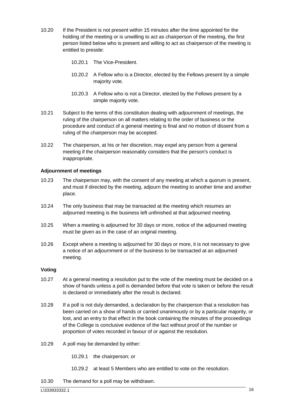- 10.20 If the President is not present within 15 minutes after the time appointed for the holding of the meeting or is unwilling to act as chairperson of the meeting, the first person listed below who is present and willing to act as chairperson of the meeting is entitled to preside:
	- 10.20.1 The Vice-President.
	- 10.20.2 A Fellow who is a Director, elected by the Fellows present by a simple majority vote.
	- 10.20.3 A Fellow who is not a Director, elected by the Fellows present by a simple majority vote.
- 10.21 Subject to the terms of this constitution dealing with adjournment of meetings, the ruling of the chairperson on all matters relating to the order of business or the procedure and conduct of a general meeting is final and no motion of dissent from a ruling of the chairperson may be accepted.
- 10.22 The chairperson, at his or her discretion, may expel any person from a general meeting if the chairperson reasonably considers that the person's conduct is inappropriate.

#### <span id="page-19-0"></span>**Adjournment of meetings**

- 10.23 The chairperson may, with the consent of any meeting at which a quorum is present, and must if directed by the meeting, adjourn the meeting to another time and another place.
- 10.24 The only business that may be transacted at the meeting which resumes an adjourned meeting is the business left unfinished at that adjourned meeting.
- 10.25 When a meeting is adjourned for 30 days or more, notice of the adjourned meeting must be given as in the case of an original meeting.
- 10.26 Except where a meeting is adjourned for 30 days or more, it is not necessary to give a notice of an adjournment or of the business to be transacted at an adjourned meeting.

#### <span id="page-19-1"></span>**Voting**

- 10.27 At a general meeting a resolution put to the vote of the meeting must be decided on a show of hands unless a poll is demanded before that vote is taken or before the result is declared or immediately after the result is declared.
- 10.28 If a poll is not duly demanded, a declaration by the chairperson that a resolution has been carried on a show of hands or carried unanimously or by a particular majority, or lost, and an entry to that effect in the book containing the minutes of the proceedings of the College is conclusive evidence of the fact without proof of the number or proportion of votes recorded in favour of or against the resolution.
- 10.29 A poll may be demanded by either:
	- 10.29.1 the chairperson; or
	- 10.29.2 at least 5 Members who are entitled to vote on the resolution.
- 10.30 The demand for a poll may be withdrawn.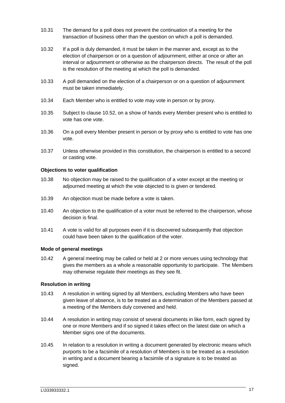- 10.31 The demand for a poll does not prevent the continuation of a meeting for the transaction of business other than the question on which a poll is demanded.
- 10.32 If a poll is duly demanded, it must be taken in the manner and, except as to the election of chairperson or on a question of adjournment, either at once or after an interval or adjournment or otherwise as the chairperson directs. The result of the poll is the resolution of the meeting at which the poll is demanded.
- 10.33 A poll demanded on the election of a chairperson or on a question of adjournment must be taken immediately.
- 10.34 Each Member who is entitled to vote may vote in person or by proxy.
- 10.35 Subject to clause [10.52,](#page-21-2) on a show of hands every Member present who is entitled to vote has one vote.
- 10.36 On a poll every Member present in person or by proxy who is entitled to vote has one vote.
- 10.37 Unless otherwise provided in this constitution, the chairperson is entitled to a second or casting vote.

#### <span id="page-20-0"></span>**Objections to voter qualification**

- 10.38 No objection may be raised to the qualification of a voter except at the meeting or adjourned meeting at which the vote objected to is given or tendered.
- 10.39 An objection must be made before a vote is taken.
- 10.40 An objection to the qualification of a voter must be referred to the chairperson, whose decision is final.
- 10.41 A vote is valid for all purposes even if it is discovered subsequently that objection could have been taken to the qualification of the voter.

#### <span id="page-20-1"></span>**Mode of general meetings**

10.42 A general meeting may be called or held at 2 or more venues using technology that gives the members as a whole a reasonable opportunity to participate. The Members may otherwise regulate their meetings as they see fit.

#### <span id="page-20-2"></span>**Resolution in writing**

- 10.43 A resolution in writing signed by all Members, excluding Members who have been given leave of absence, is to be treated as a determination of the Members passed at a meeting of the Members duly convened and held.
- 10.44 A resolution in writing may consist of several documents in like form, each signed by one or more Members and if so signed it takes effect on the latest date on which a Member signs one of the documents.
- 10.45 In relation to a resolution in writing a document generated by electronic means which purports to be a facsimile of a resolution of Members is to be treated as a resolution in writing and a document bearing a facsimile of a signature is to be treated as signed.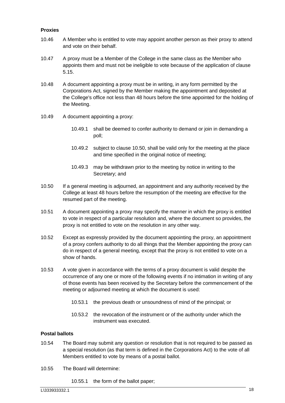#### <span id="page-21-0"></span>**Proxies**

- 10.46 A Member who is entitled to vote may appoint another person as their proxy to attend and vote on their behalf.
- 10.47 A proxy must be a Member of the College in the same class as the Member who appoints them and must not be ineligible to vote because of the application of clause [5.15.](#page-8-3)
- 10.48 A document appointing a proxy must be in writing, in any form permitted by the Corporations Act, signed by the Member making the appointment and deposited at the College's office not less than 48 hours before the time appointed for the holding of the Meeting.
- 10.49 A document appointing a proxy:
	- 10.49.1 shall be deemed to confer authority to demand or join in demanding a poll;
	- 10.49.2 subject to clause [10.50,](#page-21-3) shall be valid only for the meeting at the place and time specified in the original notice of meeting;
	- 10.49.3 may be withdrawn prior to the meeting by notice in writing to the Secretary; and
- <span id="page-21-3"></span>10.50 If a general meeting is adjourned, an appointment and any authority received by the College at least 48 hours before the resumption of the meeting are effective for the resumed part of the meeting.
- 10.51 A document appointing a proxy may specify the manner in which the proxy is entitled to vote in respect of a particular resolution and, where the document so provides, the proxy is not entitled to vote on the resolution in any other way.
- <span id="page-21-2"></span>10.52 Except as expressly provided by the document appointing the proxy, an appointment of a proxy confers authority to do all things that the Member appointing the proxy can do in respect of a general meeting, except that the proxy is not entitled to vote on a show of hands.
- 10.53 A vote given in accordance with the terms of a proxy document is valid despite the occurrence of any one or more of the following events if no intimation in writing of any of those events has been received by the Secretary before the commencement of the meeting or adjourned meeting at which the document is used:
	- 10.53.1 the previous death or unsoundness of mind of the principal; or
	- 10.53.2 the revocation of the instrument or of the authority under which the instrument was executed.

# <span id="page-21-1"></span>**Postal ballots**

- 10.54 The Board may submit any question or resolution that is not required to be passed as a special resolution (as that term is defined in the Corporations Act) to the vote of all Members entitled to vote by means of a postal ballot.
- <span id="page-21-4"></span>10.55 The Board will determine:
	- 10.55.1 the form of the ballot paper;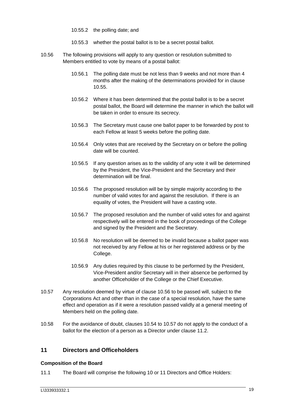10.55.2 the polling date; and

- 10.55.3 whether the postal ballot is to be a secret postal ballot.
- <span id="page-22-2"></span>10.56 The following provisions will apply to any question or resolution submitted to Members entitled to vote by means of a postal ballot:
	- 10.56.1 The polling date must be not less than 9 weeks and not more than 4 months after the making of the determinations provided for in clause [10.55.](#page-21-4)
	- 10.56.2 Where it has been determined that the postal ballot is to be a secret postal ballot, the Board will determine the manner in which the ballot will be taken in order to ensure its secrecy.
	- 10.56.3 The Secretary must cause one ballot paper to be forwarded by post to each Fellow at least 5 weeks before the polling date.
	- 10.56.4 Only votes that are received by the Secretary on or before the polling date will be counted.
	- 10.56.5 If any question arises as to the validity of any vote it will be determined by the President, the Vice-President and the Secretary and their determination will be final.
	- 10.56.6 The proposed resolution will be by simple majority according to the number of valid votes for and against the resolution. If there is an equality of votes, the President will have a casting vote.
	- 10.56.7 The proposed resolution and the number of valid votes for and against respectively will be entered in the book of proceedings of the College and signed by the President and the Secretary.
	- 10.56.8 No resolution will be deemed to be invalid because a ballot paper was not received by any Fellow at his or her registered address or by the College.
	- 10.56.9 Any duties required by this clause to be performed by the President, Vice-President and/or Secretary will in their absence be performed by another Officeholder of the College or the Chief Executive.
- 10.57 Any resolution deemed by virtue of clause [10.56](#page-22-2) to be passed will, subject to the Corporations Act and other than in the case of a special resolution, have the same effect and operation as if it were a resolution passed validly at a general meeting of Members held on the polling date.
- 10.58 For the avoidance of doubt, clauses 10.54 to 10.57 do not apply to the conduct of a ballot for the election of a person as a Director under clause 11.2.

# <span id="page-22-0"></span>**11 Directors and Officeholders**

#### <span id="page-22-1"></span>**Composition of the Board**

11.1 The Board will comprise the following 10 or 11 Directors and Office Holders: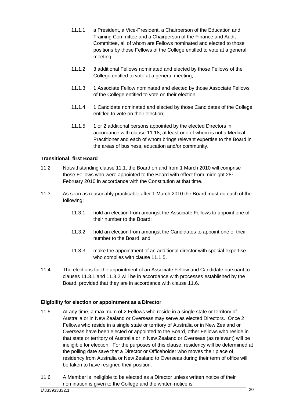- <span id="page-23-7"></span>11.1.1 a President, a Vice-President, a Chairperson of the Education and Training Committee and a Chairperson of the Finance and Audit Committee, all of whom are Fellows nominated and elected to those positions by those Fellows of the College entitled to vote at a general meeting;
- 11.1.2 3 additional Fellows nominated and elected by those Fellows of the College entitled to vote at a general meeting;
- <span id="page-23-5"></span>11.1.3 1 Associate Fellow nominated and elected by those Associate Fellows of the College entitled to vote on their election;
- <span id="page-23-6"></span>11.1.4 1 Candidate nominated and elected by those Candidates of the College entitled to vote on their election;
- <span id="page-23-9"></span>11.1.5 1 or 2 additional persons appointed by the elected Directors in accordance with clause [11.18,](#page-25-3) at least one of whom is not a Medical Practitioner and each of whom brings relevant expertise to the Board in the areas of business, education and/or community.

# <span id="page-23-0"></span>**Transitional: first Board**

- 11.2 Notwithstanding clause 11.1, the Board on and from 1 March 2010 will comprise those Fellows who were appointed to the Board with effect from midnight 28<sup>th</sup> February 2010 in accordance with the Constitution at that time.
- <span id="page-23-3"></span><span id="page-23-2"></span>11.3 As soon as reasonably practicable after 1 March 2010 the Board must do each of the following:
	- 11.3.1 hold an election from amongst the Associate Fellows to appoint one of their number to the Board;
	- 11.3.2 hold an election from amongst the Candidates to appoint one of their number to the Board; and
	- 11.3.3 make the appointment of an additional director with special expertise who complies with clause 11.1.5.
- 11.4 The elections for the appointment of an Associate Fellow and Candidate pursuant to clauses 11.3.1 and 11.3.2 will be in accordance with processes established by the Board, provided that they are in accordance with clause 11.6.

#### <span id="page-23-1"></span>**Eligibility for election or appointment as a Director**

- <span id="page-23-4"></span>11.5 At any time, a maximum of 2 Fellows who reside in a single state or territory of Australia or in New Zealand or Overseas may serve as elected Directors. Once 2 Fellows who reside in a single state or territory of Australia or in New Zealand or Overseas have been elected or appointed to the Board, other Fellows who reside in that state or territory of Australia or in New Zealand or Overseas (as relevant) will be ineligible for election. For the purposes of this clause, residency will be determined at the polling date save that a Director or Officeholder who moves their place of residency from Australia or New Zealand to Overseas during their term of office will be taken to have resigned their position.
- <span id="page-23-8"></span>11.6 A Member is ineligible to be elected as a Director unless written notice of their nomination is given to the College and the written notice is: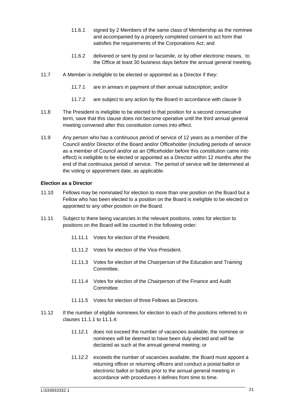- 11.6.1 signed by 2 Members of the same class of Membership as the nominee and accompanied by a properly completed consent to act form that satisfies the requirements of the Corporations Act; and
- 11.6.2 delivered or sent by post or facsimile, or by other electronic means, to the Office at least 30 business days before the annual general meeting.
- 11.7 A Member is ineligible to be elected or appointed as a Director if they:
	- 11.7.1 are in arrears in payment of their annual subscription; and/or
	- 11.7.2 are subject to any action by the Board in accordance with clause [9.](#page-13-0)
- 11.8 The President is ineligible to be elected to that position for a second consecutive term, save that this clause does not become operative until the third annual general meeting convened after this constitution comes into effect.
- <span id="page-24-1"></span>11.9 Any person who has a continuous period of service of 12 years as a member of the Council and/or Director of the Board and/or Officeholder (including periods of service as a member of Council and/or as an Officeholder before this constitution came into effect) is ineligible to be elected or appointed as a Director within 12 months after the end of that continuous period of service. The period of service will be determined at the voting or appointment date, as applicable.

#### <span id="page-24-0"></span>**Election as a Director**

- 11.10 Fellows may be nominated for election to more than one position on the Board but a Fellow who has been elected to a position on the Board is ineligible to be elected or appointed to any other position on the Board.
- 11.11 Subject to there being vacancies in the relevant positions, votes for election to positions on the Board will be counted in the following order:
	- 11.11.1 Votes for election of the President.
	- 11.11.2 Votes for election of the Vice-President.
	- 11.11.3 Votes for election of the Chairperson of the Education and Training Committee.
	- 11.11.4 Votes for election of the Chairperson of the Finance and Audit Committee.
	- 11.11.5 Votes for election of three Fellows as Directors.
- 11.12 If the number of eligible nominees for election to each of the positions referred to in clauses [11.1.1](#page-23-7) to [11.1.4:](#page-23-6)
	- 11.12.1 does not exceed the number of vacancies available, the nominee or nominees will be deemed to have been duly elected and will be declared as such at the annual general meeting; or
	- 11.12.2 exceeds the number of vacancies available, the Board must appoint a returning officer or returning officers and conduct a postal ballot or electronic ballot or ballots prior to the annual general meeting in accordance with procedures it defines from time to time.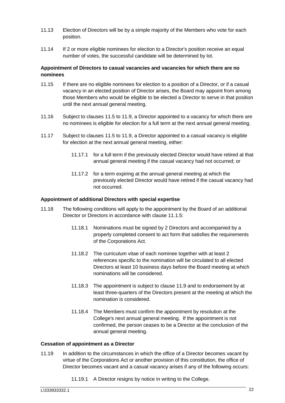- 11.13 Election of Directors will be by a simple majority of the Members who vote for each position.
- 11.14 If 2 or more eligible nominees for election to a Director's position receive an equal number of votes, the successful candidate will be determined by lot.

# <span id="page-25-0"></span>**Appointment of Directors to casual vacancies and vacancies for which there are no nominees**

- 11.15 If there are no eligible nominees for election to a position of a Director, or if a casual vacancy in an elected position of Director arises, the Board may appoint from among those Members who would be eligible to be elected a Director to serve in that position until the next annual general meeting.
- 11.16 Subject to clauses [11.5](#page-23-8) to [11.9,](#page-24-1) a Director appointed to a vacancy for which there are no nominees is eligible for election for a full term at the next annual general meeting.
- 11.17 Subject to clauses [11.5](#page-23-8) to [11.9,](#page-24-1) a Director appointed to a casual vacancy is eligible for election at the next annual general meeting, either:
	- 11.17.1 for a full term if the previously elected Director would have retired at that annual general meeting if the casual vacancy had not occurred; or
	- 11.17.2 for a term expiring at the annual general meeting at which the previously elected Director would have retired if the casual vacancy had not occurred.

# <span id="page-25-1"></span>**Appointment of additional Directors with special expertise**

- <span id="page-25-3"></span>11.18 The following conditions will apply to the appointment by the Board of an additional Director or Directors in accordance with clause [11.1.5:](#page-23-9)
	- 11.18.1 Nominations must be signed by 2 Directors and accompanied by a properly completed consent to act form that satisfies the requirements of the Corporations Act.
	- 11.18.2 The curriculum vitae of each nominee together with at least 2 references specific to the nomination will be circulated to all elected Directors at least 10 business days before the Board meeting at which nominations will be considered.
	- 11.18.3 The appointment is subject to clause [11.9](#page-24-1) and to endorsement by at least three-quarters of the Directors present at the meeting at which the nomination is considered.
	- 11.18.4 The Members must confirm the appointment by resolution at the College's next annual general meeting. If the appointment is not confirmed, the person ceases to be a Director at the conclusion of the annual general meeting.

# <span id="page-25-2"></span>**Cessation of appointment as a Director**

- <span id="page-25-4"></span>11.19 In addition to the circumstances in which the office of a Director becomes vacant by virtue of the Corporations Act or another provision of this constitution, the office of Director becomes vacant and a casual vacancy arises if any of the following occurs:
	- 11.19.1 A Director resigns by notice in writing to the College.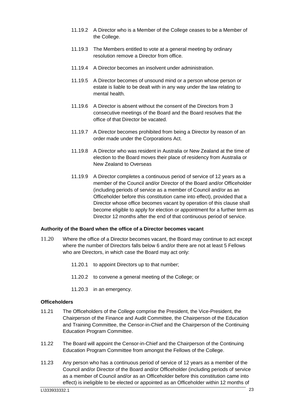- 11.19.2 A Director who is a Member of the College ceases to be a Member of the College.
- 11.19.3 The Members entitled to vote at a general meeting by ordinary resolution remove a Director from office.
- 11.19.4 A Director becomes an insolvent under administration.
- 11.19.5 A Director becomes of unsound mind or a person whose person or estate is liable to be dealt with in any way under the law relating to mental health.
- 11.19.6 A Director is absent without the consent of the Directors from 3 consecutive meetings of the Board and the Board resolves that the office of that Director be vacated.
- 11.19.7 A Director becomes prohibited from being a Director by reason of an order made under the Corporations Act.
- 11.19.8 A Director who was resident in Australia or New Zealand at the time of election to the Board moves their place of residency from Australia or New Zealand to Overseas
- 11.19.9 A Director completes a continuous period of service of 12 years as a member of the Council and/or Director of the Board and/or Officeholder (including periods of service as a member of Council and/or as an Officeholder before this constitution came into effect), provided that a Director whose office becomes vacant by operation of this clause shall become eligible to apply for election or appointment for a further term as Director 12 months after the end of that continuous period of service.

#### <span id="page-26-0"></span>**Authority of the Board when the office of a Director becomes vacant**

- 11.20 Where the office of a Director becomes vacant, the Board may continue to act except where the number of Directors falls below 6 and/or there are not at least 5 Fellows who are Directors, in which case the Board may act only:
	- 11.20.1 to appoint Directors up to that number;
	- 11.20.2 to convene a general meeting of the College; or
	- 11.20.3 in an emergency.

#### <span id="page-26-1"></span>**Officeholders**

- 11.21 The Officeholders of the College comprise the President, the Vice-President, the Chairperson of the Finance and Audit Committee, the Chairperson of the Education and Training Committee, the Censor-in-Chief and the Chairperson of the Continuing Education Program Committee.
- 11.22 The Board will appoint the Censor-in-Chief and the Chairperson of the Continuing Education Program Committee from amongst the Fellows of the College.
- <span id="page-26-2"></span>11.23 Any person who has a continuous period of service of 12 years as a member of the Council and/or Director of the Board and/or Officeholder (including periods of service as a member of Council and/or as an Officeholder before this constitution came into effect) is ineligible to be elected or appointed as an Officeholder within 12 months of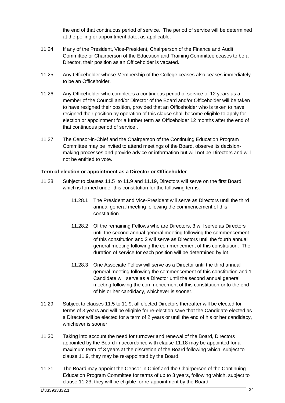the end of that continuous period of service. The period of service will be determined at the polling or appointment date, as applicable.

- 11.24 If any of the President, Vice-President, Chairperson of the Finance and Audit Committee or Chairperson of the Education and Training Committee ceases to be a Director, their position as an Officeholder is vacated.
- 11.25 Any Officeholder whose Membership of the College ceases also ceases immediately to be an Officeholder.
- 11.26 Any Officeholder who completes a continuous period of service of 12 years as a member of the Council and/or Director of the Board and/or Officeholder will be taken to have resigned their position, provided that an Officeholder who is taken to have resigned their position by operation of this clause shall become eligible to apply for election or appointment for a further term as Officeholder 12 months after the end of that continuous period of service..
- 11.27 The Censor-in-Chief and the Chairperson of the Continuing Education Program Committee may be invited to attend meetings of the Board, observe its decisionmaking processes and provide advice or information but will not be Directors and will not be entitled to vote.

# <span id="page-27-0"></span>**Term of election or appointment as a Director or Officeholder**

- 11.28 Subject to clauses [11.5](#page-23-8) to [11.9](#page-24-1) and [11.19,](#page-25-4) Directors will serve on the first Board which is formed under this constitution for the following terms:
	- 11.28.1 The President and Vice-President will serve as Directors until the third annual general meeting following the commencement of this constitution.
	- 11.28.2 Of the remaining Fellows who are Directors, 3 will serve as Directors until the second annual general meeting following the commencement of this constitution and 2 will serve as Directors until the fourth annual general meeting following the commencement of this constitution. The duration of service for each position will be determined by lot.
	- 11.28.3 One Associate Fellow will serve as a Director until the third annual general meeting following the commencement of this constitution and 1 Candidate will serve as a Director until the second annual general meeting following the commencement of this constitution or to the end of his or her candidacy, whichever is sooner.
- 11.29 Subject to clauses [11.5](#page-23-8) to [11.9,](#page-24-1) all elected Directors thereafter will be elected for terms of 3 years and will be eligible for re-election save that the Candidate elected as a Director will be elected for a term of 2 years or until the end of his or her candidacy, whichever is sooner.
- 11.30 Taking into account the need for turnover and renewal of the Board, Directors appointed by the Board in accordance with clause [11.18](#page-25-3) may be appointed for a maximum term of 3 years at the discretion of the Board following which, subject to clause [11.9,](#page-24-1) they may be re-appointed by the Board.
- 11.31 The Board may appoint the Censor in Chief and the Chairperson of the Continuing Education Program Committee for terms of up to 3 years, following which, subject to clause [11.23,](#page-26-2) they will be eligible for re-appointment by the Board.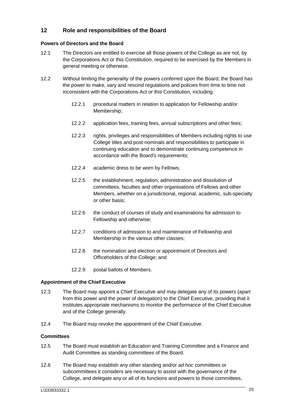# <span id="page-28-0"></span>**12 Role and responsibilities of the Board**

#### <span id="page-28-1"></span>**Powers of Directors and the Board**

- 12.1 The Directors are entitled to exercise all those powers of the College as are not, by the Corporations Act or this Constitution, required to be exercised by the Members in general meeting or otherwise.
- <span id="page-28-4"></span>12.2 Without limiting the generality of the powers conferred upon the Board, the Board has the power to make, vary and rescind regulations and policies from time to time not inconsistent with the Corporations Act or this Constitution, including:
	- 12.2.1 procedural matters in relation to application for Fellowship and/or Membership;
	- 12.2.2 application fees, training fees, annual subscriptions and other fees;
	- 12.2.3 rights, privileges and responsibilities of Members including rights to use College titles and post-nominals and responsibilities to participate in continuing education and to demonstrate continuing competence in accordance with the Board's requirements;
	- 12.2.4 academic dress to be worn by Fellows;
	- 12.2.5 the establishment, regulation, administration and dissolution of committees, faculties and other organisations of Fellows and other Members, whether on a jurisdictional, regional, academic, sub-specialty or other basis;
	- 12.2.6 the conduct of courses of study and examinations for admission to Fellowship and otherwise;
	- 12.2.7 conditions of admission to and maintenance of Fellowship and Membership in the various other classes;
	- 12.2.8 the nomination and election or appointment of Directors and Officeholders of the College; and
	- 12.2.9 postal ballots of Members.

# <span id="page-28-2"></span>**Appointment of the Chief Executive**

- 12.3 The Board may appoint a Chief Executive and may delegate any of its powers (apart from this power and the power of delegation) to the Chief Executive, providing that it institutes appropriate mechanisms to monitor the performance of the Chief Executive and of the College generally.
- 12.4 The Board may revoke the appointment of the Chief Executive.

#### <span id="page-28-3"></span>**Committees**

- 12.5 The Board must establish an Education and Training Committee and a Finance and Audit Committee as standing committees of the Board.
- 12.6 The Board may establish any other standing and/or *ad hoc* committees or subcommittees it considers are necessary to assist with the governance of the College, and delegate any or all of its functions and powers to those committees,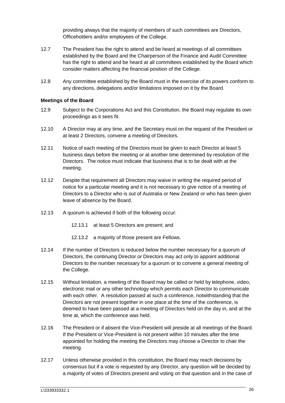providing always that the majority of members of such committees are Directors, Officeholders and/or employees of the College.

- 12.7 The President has the right to attend and be heard at meetings of all committees established by the Board and the Chairperson of the Finance and Audit Committee has the right to attend and be heard at all committees established by the Board which consider matters affecting the financial position of the College.
- 12.8 Any committee established by the Board must in the exercise of its powers conform to any directions, delegations and/or limitations imposed on it by the Board.

#### <span id="page-29-0"></span>**Meetings of the Board**

- 12.9 Subject to the Corporations Act and this Constitution, the Board may regulate its own proceedings as it sees fit.
- 12.10 A Director may at any time, and the Secretary must on the request of the President or at least 2 Directors, convene a meeting of Directors.
- 12.11 Notice of each meeting of the Directors must be given to each Director at least 5 business days before the meeting or at another time determined by resolution of the Directors. The notice must indicate that business that is to be dealt with at the meeting.
- 12.12 Despite that requirement all Directors may waive in writing the required period of notice for a particular meeting and it is not necessary to give notice of a meeting of Directors to a Director who is out of Australia or New Zealand or who has been given leave of absence by the Board.
- 12.13 A quorum is achieved if both of the following occur:
	- 12.13.1 at least 5 Directors are present; and
	- 12.13.2 a majority of those present are Fellows.
- 12.14 If the number of Directors is reduced below the number necessary for a quorum of Directors, the continuing Director or Directors may act only to appoint additional Directors to the number necessary for a quorum or to convene a general meeting of the College.
- 12.15 Without limitation, a meeting of the Board may be called or held by telephone, video, electronic mail or any other technology which permits each Director to communicate with each other. A resolution passed at such a conference, notwithstanding that the Directors are not present together in one place at the time of the conference, is deemed to have been passed at a meeting of Directors held on the day in, and at the time at, which the conference was held.
- 12.16 The President or if absent the Vice-President will preside at all meetings of the Board. If the President or Vice-President is not present within 10 minutes after the time appointed for holding the meeting the Directors may choose a Director to chair the meeting.
- 12.17 Unless otherwise provided in this constitution, the Board may reach decisions by consensus but if a vote is requested by any Director, any question will be decided by a majority of votes of Directors present and voting on that question and in the case of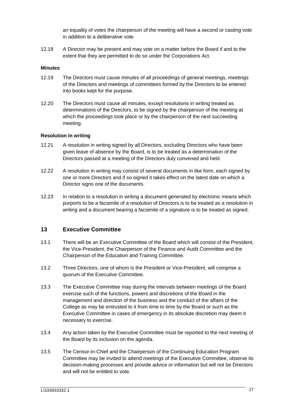an equality of votes the chairperson of the meeting will have a second or casting vote in addition to a deliberative vote.

12.18 A Director may be present and may vote on a matter before the Board if and to the extent that they are permitted to do so under the Corporations Act.

#### <span id="page-30-0"></span>**Minutes**

- 12.19 The Directors must cause minutes of all proceedings of general meetings, meetings of the Directors and meetings of committees formed by the Directors to be entered into books kept for the purpose.
- 12.20 The Directors must cause all minutes, except resolutions in writing treated as determinations of the Directors, to be signed by the chairperson of the meeting at which the proceedings took place or by the chairperson of the next succeeding meeting.

#### <span id="page-30-1"></span>**Resolution in writing**

- 12.21 A resolution in writing signed by all Directors, excluding Directors who have been given leave of absence by the Board, is to be treated as a determination of the Directors passed at a meeting of the Directors duly convened and held.
- 12.22 A resolution in writing may consist of several documents in like form, each signed by one or more Directors and if so signed it takes effect on the latest date on which a Director signs one of the documents.
- 12.23 In relation to a resolution in writing a document generated by electronic means which purports to be a facsimile of a resolution of Directors is to be treated as a resolution in writing and a document bearing a facsimile of a signature is to be treated as signed.

# <span id="page-30-2"></span>**13 Executive Committee**

- 13.1 There will be an Executive Committee of the Board which will consist of the President, the Vice-President, the Chairperson of the Finance and Audit Committee and the Chairperson of the Education and Training Committee.
- 13.2 Three Directors, one of whom is the President or Vice-President, will comprise a quorum of the Executive Committee.
- 13.3 The Executive Committee may during the intervals between meetings of the Board exercise such of the functions, powers and discretions of the Board in the management and direction of the business and the conduct of the affairs of the College as may be entrusted to it from time to time by the Board or such as the Executive Committee in cases of emergency in its absolute discretion may deem it necessary to exercise.
- 13.4 Any action taken by the Executive Committee must be reported to the next meeting of the Board by its inclusion on the agenda.
- 13.5 The Censor-in-Chief and the Chairperson of the Continuing Education Program Committee may be invited to attend meetings of the Executive Committee, observe its decision-making processes and provide advice or information but will not be Directors and will not be entitled to vote.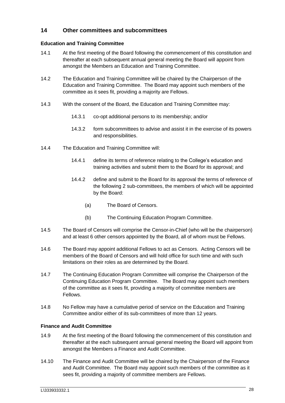# <span id="page-31-0"></span>**14 Other committees and subcommittees**

# <span id="page-31-1"></span>**Education and Training Committee**

- 14.1 At the first meeting of the Board following the commencement of this constitution and thereafter at each subsequent annual general meeting the Board will appoint from amongst the Members an Education and Training Committee.
- 14.2 The Education and Training Committee will be chaired by the Chairperson of the Education and Training Committee. The Board may appoint such members of the committee as it sees fit, providing a majority are Fellows.
- 14.3 With the consent of the Board, the Education and Training Committee may:
	- 14.3.1 co-opt additional persons to its membership; and/or
	- 14.3.2 form subcommittees to advise and assist it in the exercise of its powers and responsibilities.
- 14.4 The Education and Training Committee will:
	- 14.4.1 define its terms of reference relating to the College's education and training activities and submit them to the Board for its approval; and
	- 14.4.2 define and submit to the Board for its approval the terms of reference of the following 2 sub-committees, the members of which will be appointed by the Board:
		- (a) The Board of Censors.
		- (b) The Continuing Education Program Committee.
- 14.5 The Board of Censors will comprise the Censor-in-Chief (who will be the chairperson) and at least 6 other censors appointed by the Board, all of whom must be Fellows.
- 14.6 The Board may appoint additional Fellows to act as Censors. Acting Censors will be members of the Board of Censors and will hold office for such time and with such limitations on their roles as are determined by the Board.
- 14.7 The Continuing Education Program Committee will comprise the Chairperson of the Continuing Education Program Committee. The Board may appoint such members of the committee as it sees fit, providing a majority of committee members are Fellows.
- 14.8 No Fellow may have a cumulative period of service on the Education and Training Committee and/or either of its sub-committees of more than 12 years.

# <span id="page-31-2"></span>**Finance and Audit Committee**

- 14.9 At the first meeting of the Board following the commencement of this constitution and thereafter at the each subsequent annual general meeting the Board will appoint from amongst the Members a Finance and Audit Committee.
- 14.10 The Finance and Audit Committee will be chaired by the Chairperson of the Finance and Audit Committee. The Board may appoint such members of the committee as it sees fit, providing a majority of committee members are Fellows.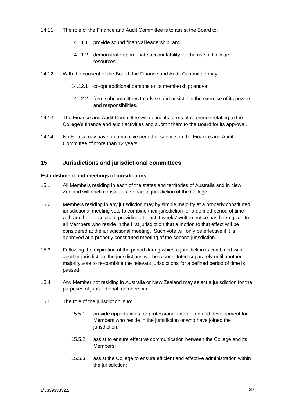- 14.11 The role of the Finance and Audit Committee is to assist the Board to:
	- 14.11.1 provide sound financial leadership; and
	- 14.11.2 demonstrate appropriate accountability for the use of College resources.
- 14.12 With the consent of the Board, the Finance and Audit Committee may:
	- 14.12.1 co-opt additional persons to its membership; and/or
	- 14.12.2 form subcommittees to advise and assist it in the exercise of its powers and responsibilities.
- 14.13 The Finance and Audit Committee will define its terms of reference relating to the College's finance and audit activities and submit them to the Board for its approval.
- 14.14 No Fellow may have a cumulative period of service on the Finance and Audit Committee of more than 12 years.

# <span id="page-32-0"></span>**15 Jurisdictions and jurisdictional committees**

#### <span id="page-32-1"></span>**Establishment and meetings of jurisdictions**

- 15.1 All Members residing in each of the states and territories of Australia and in New Zealand will each constitute a separate jurisdiction of the College.
- 15.2 Members residing in any jurisdiction may by simple majority at a properly constituted jurisdictional meeting vote to combine their jurisdiction for a defined period of time with another jurisdiction, providing at least 4 weeks' written notice has been given to all Members who reside in the first jurisdiction that a motion to that effect will be considered at the jurisdictional meeting. Such vote will only be effective if it is approved at a properly constituted meeting of the second jurisdiction.
- 15.3 Following the expiration of the period during which a jurisdiction is combined with another jurisdiction, the jurisdictions will be reconstituted separately until another majority vote to re-combine the relevant jurisdictions for a defined period of time is passed.
- <span id="page-32-2"></span>15.4 Any Member not residing in Australia or New Zealand may select a jurisdiction for the purposes of jurisdictional membership.
- 15.5 The role of the jurisdiction is to:
	- 15.5.1 provide opportunities for professional interaction and development for Members who reside in the jurisdiction or who have joined the jurisdiction;
	- 15.5.2 assist to ensure effective communication between the College and its Members;
	- 15.5.3 assist the College to ensure efficient and effective administration within the jurisdiction;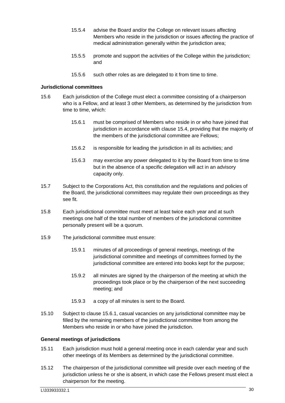- 15.5.4 advise the Board and/or the College on relevant issues affecting Members who reside in the jurisdiction or issues affecting the practice of medical administration generally within the jurisdiction area;
- 15.5.5 promote and support the activities of the College within the jurisdiction; and
- <span id="page-33-2"></span>15.5.6 such other roles as are delegated to it from time to time.

#### <span id="page-33-0"></span>**Jurisdictional committees**

- 15.6 Each jurisdiction of the College must elect a committee consisting of a chairperson who is a Fellow, and at least 3 other Members, as determined by the jurisdiction from time to time, which:
	- 15.6.1 must be comprised of Members who reside in or who have joined that jurisdiction in accordance with clause [15.4,](#page-32-2) providing that the majority of the members of the jurisdictional committee are Fellows;
	- 15.6.2 is responsible for leading the jurisdiction in all its activities; and
	- 15.6.3 may exercise any power delegated to it by the Board from time to time but in the absence of a specific delegation will act in an advisory capacity only.
- 15.7 Subject to the Corporations Act, this constitution and the regulations and policies of the Board, the jurisdictional committees may regulate their own proceedings as they see fit.
- 15.8 Each jurisdictional committee must meet at least twice each year and at such meetings one half of the total number of members of the jurisdictional committee personally present will be a quorum.
- 15.9 The jurisdictional committee must ensure:
	- 15.9.1 minutes of all proceedings of general meetings, meetings of the jurisdictional committee and meetings of committees formed by the jurisdictional committee are entered into books kept for the purpose;
	- 15.9.2 all minutes are signed by the chairperson of the meeting at which the proceedings took place or by the chairperson of the next succeeding meeting; and
	- 15.9.3 a copy of all minutes is sent to the Board.
- 15.10 Subject to clause [15.6.1,](#page-33-2) casual vacancies on any jurisdictional committee may be filled by the remaining members of the jurisdictional committee from among the Members who reside in or who have joined the jurisdiction.

# <span id="page-33-1"></span>**General meetings of jurisdictions**

- 15.11 Each jurisdiction must hold a general meeting once in each calendar year and such other meetings of its Members as determined by the jurisdictional committee.
- 15.12 The chairperson of the jurisdictional committee will preside over each meeting of the jurisdiction unless he or she is absent, in which case the Fellows present must elect a chairperson for the meeting.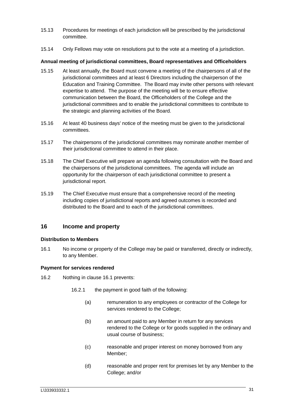- 15.13 Procedures for meetings of each jurisdiction will be prescribed by the jurisdictional committee.
- 15.14 Only Fellows may vote on resolutions put to the vote at a meeting of a jurisdiction.

#### <span id="page-34-0"></span>**Annual meeting of jurisdictional committees, Board representatives and Officeholders**

- 15.15 At least annually, the Board must convene a meeting of the chairpersons of all of the jurisdictional committees and at least 6 Directors including the chairperson of the Education and Training Committee. The Board may invite other persons with relevant expertise to attend. The purpose of the meeting will be to ensure effective communication between the Board, the Officeholders of the College and the jurisdictional committees and to enable the jurisdictional committees to contribute to the strategic and planning activities of the Board.
- 15.16 At least 40 business days' notice of the meeting must be given to the jurisdictional committees.
- 15.17 The chairpersons of the jurisdictional committees may nominate another member of their jurisdictional committee to attend in their place.
- 15.18 The Chief Executive will prepare an agenda following consultation with the Board and the chairpersons of the jurisdictional committees. The agenda will include an opportunity for the chairperson of each jurisdictional committee to present a jurisdictional report.
- 15.19 The Chief Executive must ensure that a comprehensive record of the meeting including copies of jurisdictional reports and agreed outcomes is recorded and distributed to the Board and to each of the jurisdictional committees.

# <span id="page-34-1"></span>**16 Income and property**

# <span id="page-34-2"></span>**Distribution to Members**

<span id="page-34-4"></span>16.1 No income or property of the College may be paid or transferred, directly or indirectly, to any Member.

# <span id="page-34-3"></span>**Payment for services rendered**

- 16.2 Nothing in clause [16.1](#page-34-4) prevents:
	- 16.2.1 the payment in good faith of the following:
		- (a) remuneration to any employees or contractor of the College for services rendered to the College;
		- (b) an amount paid to any Member in return for any services rendered to the College or for goods supplied in the ordinary and usual course of business;
		- (c) reasonable and proper interest on money borrowed from any Member;
		- (d) reasonable and proper rent for premises let by any Member to the College; and/or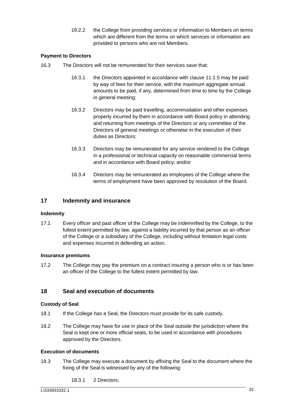16.2.2 the College from providing services or information to Members on terms which are different from the terms on which services or information are provided to persons who are not Members.

# <span id="page-35-0"></span>**Payment to Directors**

- 16.3 The Directors will not be remunerated for their services save that:
	- 16.3.1 the Directors appointed in accordance with clause [11.1.5](#page-23-9) may be paid by way of fees for their service, with the maximum aggregate annual amounts to be paid, if any, determined from time to time by the College in general meeting;
	- 16.3.2 Directors may be paid travelling, accommodation and other expenses properly incurred by them in accordance with Board policy in attending and returning from meetings of the Directors or any committee of the Directors of general meetings or otherwise in the execution of their duties as Directors;
	- 16.3.3 Directors may be remunerated for any service rendered to the College in a professional or technical capacity on reasonable commercial terms and in accordance with Board policy; and/or
	- 16.3.4 Directors may be remunerated as employees of the College where the terms of employment have been approved by resolution of the Board.

# <span id="page-35-1"></span>**17 Indemnity and insurance**

# <span id="page-35-2"></span>**Indemnity**

17.1 Every officer and past officer of the College may be indemnified by the College, to the fullest extent permitted by law, against a liability incurred by that person as an officer of the College or a subsidiary of the College, including without limitation legal costs and expenses incurred in defending an action.

# <span id="page-35-3"></span>**Insurance premiums**

17.2 The College may pay the premium on a contract insuring a person who is or has been an officer of the College to the fullest extent permitted by law.

# <span id="page-35-4"></span>**18 Seal and execution of documents**

# <span id="page-35-5"></span>**Custody of Seal**

- 18.1 If the College has a Seal, the Directors must provide for its safe custody.
- 18.2 The College may have for use in place of the Seal outside the jurisdiction where the Seal is kept one or more official seals, to be used in accordance with procedures approved by the Directors.

# <span id="page-35-6"></span>**Execution of documents**

- 18.3 The College may execute a document by affixing the Seal to the document where the fixing of the Seal is witnessed by any of the following:
	- 18.3.1 2 Directors;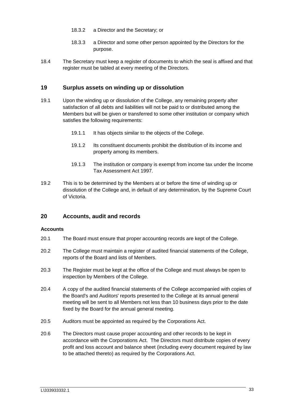- 18.3.2 a Director and the Secretary; or
- 18.3.3 a Director and some other person appointed by the Directors for the purpose.
- 18.4 The Secretary must keep a register of documents to which the seal is affixed and that register must be tabled at every meeting of the Directors.

# <span id="page-36-0"></span>**19 Surplus assets on winding up or dissolution**

- 19.1 Upon the winding up or dissolution of the College, any remaining property after satisfaction of all debts and liabilities will not be paid to or distributed among the Members but will be given or transferred to some other institution or company which satisfies the following requirements:
	- 19.1.1 It has objects similar to the objects of the College.
	- 19.1.2 Its constituent documents prohibit the distribution of its income and property among its members.
	- 19.1.3 The institution or company is exempt from income tax under the Income Tax Assessment Act 1997.
- 19.2 This is to be determined by the Members at or before the time of winding up or dissolution of the College and, in default of any determination, by the Supreme Court of Victoria.

# <span id="page-36-1"></span>**20 Accounts, audit and records**

#### <span id="page-36-2"></span>**Accounts**

- 20.1 The Board must ensure that proper accounting records are kept of the College.
- 20.2 The College must maintain a register of audited financial statements of the College, reports of the Board and lists of Members.
- 20.3 The Register must be kept at the office of the College and must always be open to inspection by Members of the College.
- 20.4 A copy of the audited financial statements of the College accompanied with copies of the Board's and Auditors' reports presented to the College at its annual general meeting will be sent to all Members not less than 10 business days prior to the date fixed by the Board for the annual general meeting.
- 20.5 Auditors must be appointed as required by the Corporations Act.
- 20.6 The Directors must cause proper accounting and other records to be kept in accordance with the Corporations Act. The Directors must distribute copies of every profit and loss account and balance sheet (including every document required by law to be attached thereto) as required by the Corporations Act.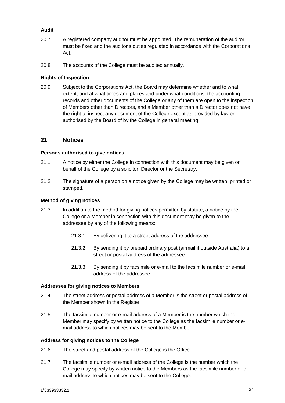# <span id="page-37-0"></span>**Audit**

- 20.7 A registered company auditor must be appointed. The remuneration of the auditor must be fixed and the auditor's duties regulated in accordance with the Corporations Act.
- 20.8 The accounts of the College must be audited annually.

# <span id="page-37-1"></span>**Rights of Inspection**

20.9 Subject to the Corporations Act, the Board may determine whether and to what extent, and at what times and places and under what conditions, the accounting records and other documents of the College or any of them are open to the inspection of Members other than Directors, and a Member other than a Director does not have the right to inspect any document of the College except as provided by law or authorised by the Board of by the College in general meeting.

# <span id="page-37-2"></span>**21 Notices**

#### <span id="page-37-3"></span>**Persons authorised to give notices**

- 21.1 A notice by either the College in connection with this document may be given on behalf of the College by a solicitor, Director or the Secretary.
- 21.2 The signature of a person on a notice given by the College may be written, printed or stamped.

#### <span id="page-37-4"></span>**Method of giving notices**

- 21.3 In addition to the method for giving notices permitted by statute, a notice by the College or a Member in connection with this document may be given to the addressee by any of the following means:
	- 21.3.1 By delivering it to a street address of the addressee.
	- 21.3.2 By sending it by prepaid ordinary post (airmail if outside Australia) to a street or postal address of the addressee.
	- 21.3.3 By sending it by facsimile or e-mail to the facsimile number or e-mail address of the addressee.

#### <span id="page-37-5"></span>**Addresses for giving notices to Members**

- 21.4 The street address or postal address of a Member is the street or postal address of the Member shown in the Register.
- 21.5 The facsimile number or e-mail address of a Member is the number which the Member may specify by written notice to the College as the facsimile number or email address to which notices may be sent to the Member.

#### <span id="page-37-6"></span>**Address for giving notices to the College**

- 21.6 The street and postal address of the College is the Office.
- 21.7 The facsimile number or e-mail address of the College is the number which the College may specify by written notice to the Members as the facsimile number or email address to which notices may be sent to the College.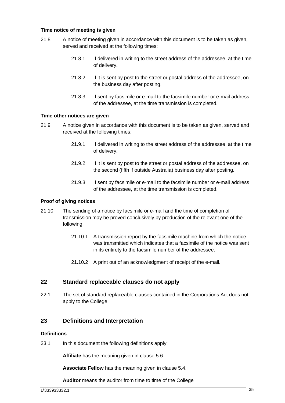#### <span id="page-38-0"></span>**Time notice of meeting is given**

- 21.8 A notice of meeting given in accordance with this document is to be taken as given, served and received at the following times:
	- 21.8.1 If delivered in writing to the street address of the addressee, at the time of delivery.
	- 21.8.2 If it is sent by post to the street or postal address of the addressee, on the business day after posting.
	- 21.8.3 If sent by facsimile or e-mail to the facsimile number or e-mail address of the addressee, at the time transmission is completed.

#### <span id="page-38-1"></span>**Time other notices are given**

- 21.9 A notice given in accordance with this document is to be taken as given, served and received at the following times:
	- 21.9.1 If delivered in writing to the street address of the addressee, at the time of delivery.
	- 21.9.2 If it is sent by post to the street or postal address of the addressee, on the second (fifth if outside Australia) business day after posting.
	- 21.9.3 If sent by facsimile or e-mail to the facsimile number or e-mail address of the addressee, at the time transmission is completed.

#### <span id="page-38-2"></span>**Proof of giving notices**

- 21.10 The sending of a notice by facsimile or e-mail and the time of completion of transmission may be proved conclusively by production of the relevant one of the following:
	- 21.10.1 A transmission report by the facsimile machine from which the notice was transmitted which indicates that a facsimile of the notice was sent in its entirety to the facsimile number of the addressee.
	- 21.10.2 A print out of an acknowledgment of receipt of the e-mail.

# <span id="page-38-3"></span>**22 Standard replaceable clauses do not apply**

22.1 The set of standard replaceable clauses contained in the Corporations Act does not apply to the College.

# <span id="page-38-4"></span>**23 Definitions and Interpretation**

#### <span id="page-38-5"></span>**Definitions**

23.1 In this document the following definitions apply:

**Affiliate** has the meaning given in clause [5.6.](#page-6-5)

**Associate Fellow** has the meaning given in clause [5.4.](#page-6-6)

**Auditor** means the auditor from time to time of the College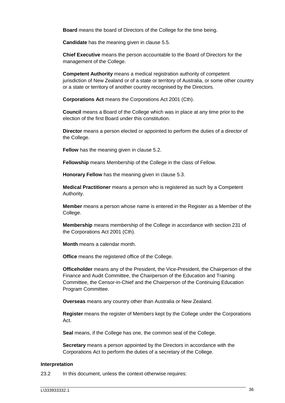**Board** means the board of Directors of the College for the time being.

**Candidate** has the meaning given in clause [5.5.](#page-6-7)

**Chief Executive** means the person accountable to the Board of Directors for the management of the College.

**Competent Authority** means a medical registration authority of competent jurisdiction of New Zealand or of a state or territory of Australia, or some other country or a state or territory of another country recognised by the Directors.

**Corporations Act** means the Corporations Act 2001 (Cth).

**Council** means a Board of the College which was in place at any time prior to the election of the first Board under this constitution.

**Director** means a person elected or appointed to perform the duties of a director of the College.

**Fellow** has the meaning given in clause [5.2.](#page-5-5)

**Fellowship** means Membership of the College in the class of Fellow.

**Honorary Fellow** has the meaning given in clause [5.3.](#page-5-6)

**Medical Practitioner** means a person who is registered as such by a Competent Authority.

**Member** means a person whose name is entered in the Register as a Member of the College.

**Membership** means membership of the College in accordance with section 231 of the Corporations Act 2001 (Cth).

**Month** means a calendar month.

**Office** means the registered office of the College.

**Officeholder** means any of the President, the Vice-President, the Chairperson of the Finance and Audit Committee, the Chairperson of the Education and Training Committee, the Censor-in-Chief and the Chairperson of the Continuing Education Program Committee.

**Overseas** means any country other than Australia or New Zealand.

**Register** means the register of Members kept by the College under the Corporations Act.

**Seal** means, if the College has one, the common seal of the College.

**Secretary** means a person appointed by the Directors in accordance with the Corporations Act to perform the duties of a secretary of the College.

#### <span id="page-39-0"></span>**Interpretation**

23.2 In this document, unless the context otherwise requires: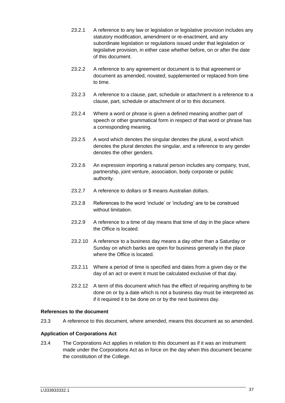- 23.2.1 A reference to any law or legislation or legislative provision includes any statutory modification, amendment or re-enactment, and any subordinate legislation or regulations issued under that legislation or legislative provision, in either case whether before, on or after the date of this document.
- 23.2.2 A reference to any agreement or document is to that agreement or document as amended, novated, supplemented or replaced from time to time.
- 23.2.3 A reference to a clause, part, schedule or attachment is a reference to a clause, part, schedule or attachment of or to this document.
- 23.2.4 Where a word or phrase is given a defined meaning another part of speech or other grammatical form in respect of that word or phrase has a corresponding meaning.
- 23.2.5 A word which denotes the singular denotes the plural, a word which denotes the plural denotes the singular, and a reference to any gender denotes the other genders.
- 23.2.6 An expression importing a natural person includes any company, trust, partnership, joint venture, association, body corporate or public authority.
- 23.2.7 A reference to dollars or \$ means Australian dollars.
- 23.2.8 References to the word 'include' or 'including' are to be construed without limitation.
- 23.2.9 A reference to a time of day means that time of day in the place where the Office is located.
- 23.2.10 A reference to a business day means a day other than a Saturday or Sunday on which banks are open for business generally in the place where the Office is located.
- 23.2.11 Where a period of time is specified and dates from a given day or the day of an act or event it must be calculated exclusive of that day.
- 23.2.12 A term of this document which has the effect of requiring anything to be done on or by a date which is not a business day must be interpreted as if it required it to be done on or by the next business day.

# <span id="page-40-0"></span>**References to the document**

23.3 A reference to this document, where amended, means this document as so amended.

# <span id="page-40-1"></span>**Application of Corporations Act**

23.4 The Corporations Act applies in relation to this document as if it was an instrument made under the Corporations Act as in force on the day when this document became the constitution of the College.